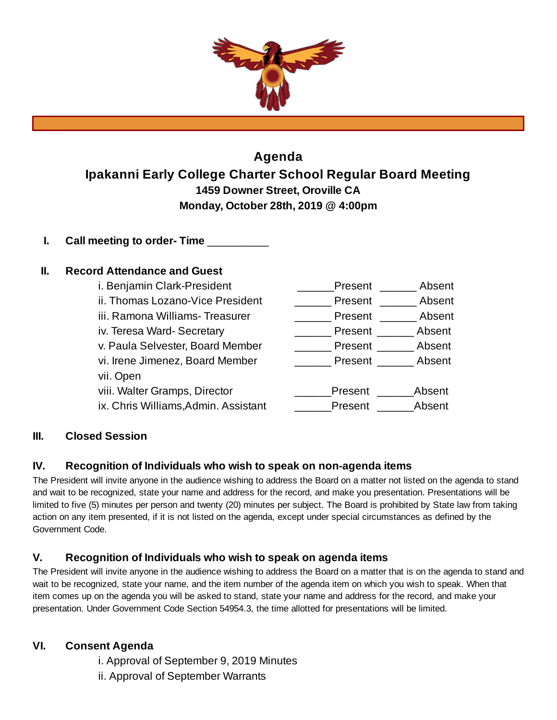

# **Agenda Ipakanni Early College Charter School Regular Board Meeting 1459 Downer Street, Oroville CA Monday, October 28th, 2019 @ 4:00pm**

**I. Call meeting to order- Time** \_\_\_\_\_\_\_\_\_\_

# **II. Record Attendance and Guest**

| i. Benjamin Clark-President          | Present | Absent |
|--------------------------------------|---------|--------|
| ii. Thomas Lozano-Vice President     | Present | Absent |
| iii. Ramona Williams- Treasurer      | Present | Absent |
| iv. Teresa Ward-Secretary            | Present | Absent |
| v. Paula Selvester, Board Member     | Present | Absent |
| vi. Irene Jimenez, Board Member      | Present | Absent |
| vii. Open                            |         |        |
| viii. Walter Gramps, Director        | Present | Absent |
| ix. Chris Williams, Admin. Assistant | Present | Absent |

# **III. Closed Session**

### **IV. Recognition of Individuals who wish to speak on non-agenda items**

The President will invite anyone in the audience wishing to address the Board on a matter not listed on the agenda to stand and wait to be recognized, state your name and address for the record, and make you presentation. Presentations will be limited to five (5) minutes per person and twenty (20) minutes per subject. The Board is prohibited by State law from taking action on any item presented, if it is not listed on the agenda, except under special circumstances as defined by the Government Code.

# **V. Recognition of Individuals who wish to speak on agenda items**

The President will invite anyone in the audience wishing to address the Board on a matter that is on the agenda to stand and wait to be recognized, state your name, and the item number of the agenda item on which you wish to speak. When that item comes up on the agenda you will be asked to stand, state your name and address for the record, and make your presentation. Under Government Code Section 54954.3, the time allotted for presentations will be limited.

# **VI. Consent Agenda**

i. Approval of September 9, 2019 Minutes ii. Approval of September Warrants